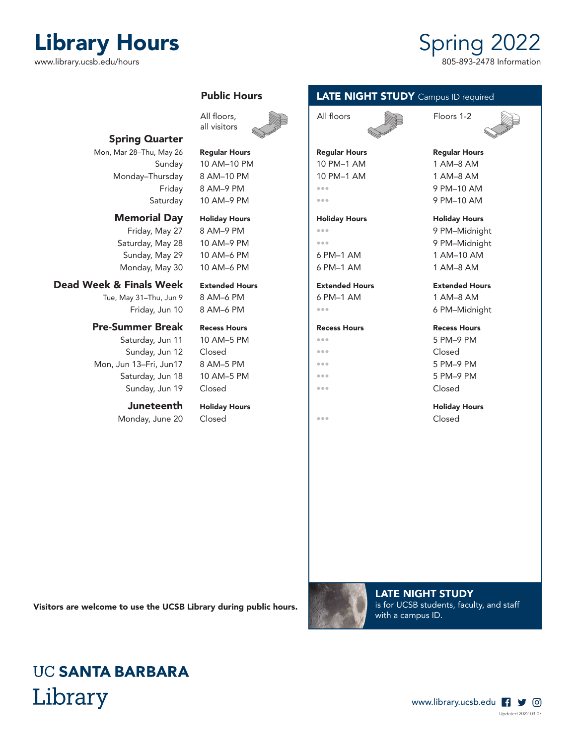# Library Hours<br>
www.library.ucsb.edu/hours<br>
805-893-2478 Information

www.library.ucsb.edu/hours

### Spring Quarter

Mon, Mar 28–Thu, May 26 Regular Hours Regular Hours Regular Hours Regular Hours Monday–Thursday 8 AM–10 PM | 10 PM–1 AM 1 AM–8 AM

### Memorial Day Holiday Hours | Holiday Hours | Holiday Hours + Holiday Hours

Friday, May 27 8 AM–9 PM **•••** 9 PM ••• 9 PM–Midnight Saturday, May 28 10 AM–9 PM **•••** 9 PM ••• 9 PM–Midnight Sunday, May 29 10 AM–6 PM  $\begin{array}{|c|c|c|c|c|c|c|c|c|} \hline \text{6 PM}{}-1 \text{ AM} & \text{1 AM}{}-10 \text{ AM} \\\hline \end{array}$ Monday, May 30  $\parallel$  10 AM–6 PM  $\parallel$  6 PM–1 AM  $\parallel$  1 AM–8 AM

### Dead Week & Finals Week Extended Hours Extended Hours Extended Hours

Tue, May 31–Thu, Jun 9 8 AM–6 PM 6 PM–1 AM 1 AM–8 AM

### Pre-Summer Break Recess Hours Recess Hours Recess Hours Recess Hours

Saturday, Jun 11 10 AM–5 PM **••• ••• 12 PM 12 PM 5 PM–9 PM** Sunday, Jun 12 Closed **•••** Closed **Figure 2** Closed Mon, Jun 13–Fri, Jun17 8 AM–5 PM ••• 5 PM–9 PM Saturday, Jun 18 10 AM–5 PM **••• ••• 18 PM–9 PM** Sunday, Jun 19 Closed **Figure 1 Closed Figure 1 Closed Closed** 

### **Juneteenth** Holiday Hours **Holiday Hours** Holiday Hours Holiday Hours

Monday, June 20 Closed **Figure 20** Closed

## Public Hours



Sunday 10 AM–10 PM 10 PM–1 AM 1 AM–8 AM Friday 8 AM–9 PM ••• 9 PM–10 AM Saturday 10 AM–9 PM **••• •••** 9 PM–10 AM

### **LATE NIGHT STUDY** Campus ID required





Friday, Jun 10 8 AM–6 PM **••• ••• ••• 6 PM–Midnight** 

Visitors are welcome to use the UCSB Library during public hours.



LATE NIGHT STUDY is for UCSB students, faculty, and staff with a campus ID.

## **UC SANTA BARBARA** Library

### www.library.ucsb.edu f y @ Updated 2022-03-07